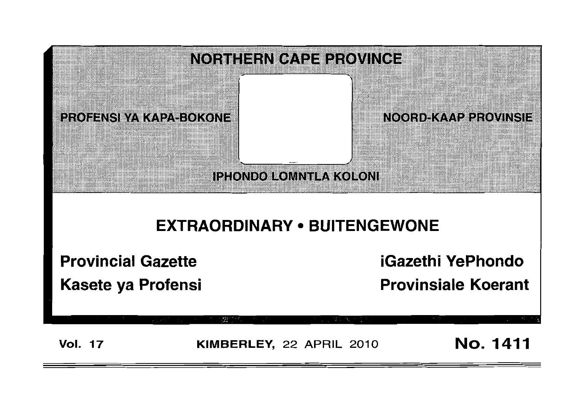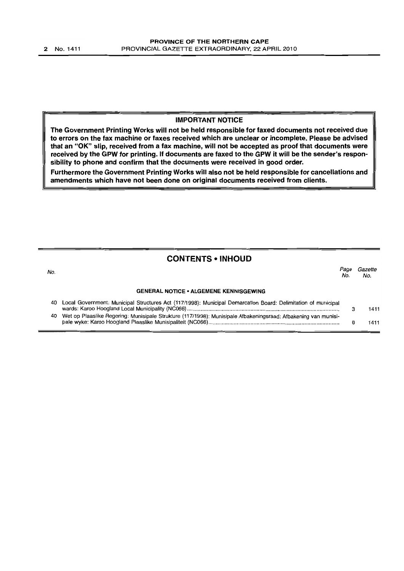#### **IMPORTANT NOTICE**

**The Government Printing Works will not be held responsible for faxed documents not received due to errors on the fax machine or faxes received which are unclear or incomplete. Please be advised that an** "OK" **slip, received from a fax machine, will not be accepted as proof that documents were received by the GPW for printing. If documents are faxed to the GPW it will be the sender's responsibility to phone and confirm that the documents were received in good order.**

**Furthermore the Government Printing Works will also not be held responsible for cancellations and amendments which have not been done on original documents received from clients.**

# **CONTENTS • INHOLID**

| No. |                                                                                                                   | Page<br>No. | Gazette<br>No. |
|-----|-------------------------------------------------------------------------------------------------------------------|-------------|----------------|
|     | <b>GENERAL NOTICE • ALGEMENE KENNISGEWING</b>                                                                     |             |                |
| 40. | Local Government: Municipal Structures Act (117/1998): Municipal Demarcation Board: Delimitation of municipal     |             | 1411           |
|     | 40 Wet op Plaaslike Regering: Munisipale Strukture (117/1998): Munisipale Afbakeningsraad: Afbakening van munisi- |             | 1411           |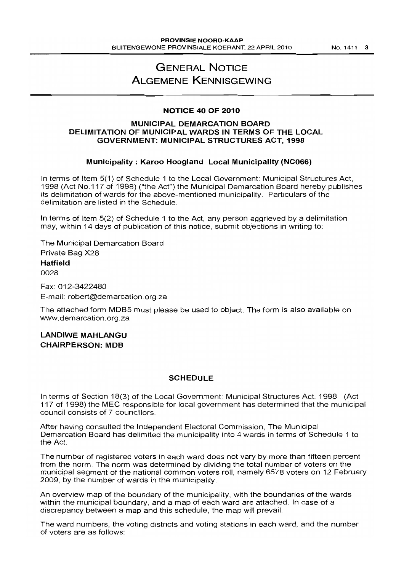# **GENERAL NOTICE ALGEMENE KENNISGEWING**

## **NOTICE 40 OF 2010**

## **MUNICIPAL DEMARCATION BOARD DELIMITATION OF MUNICIPAL WARDS IN TERMS OF THE LOCAL GOVERNMENT: MUNICIPAL STRUCTURES ACT, 1998**

#### **Municipality: Karoo Hoogland Local Municipality (NC066)**

In terms of Item 5(1) of Schedule 1 to the Local Government: Municipal Structures Act, 1998 (Act No.117 of 1998) ("the Act") the Municipal Demarcation Board hereby publishes its delimitation of wards for the above-mentioned municipality. Particulars of the delimitation are listed in the Schedule.

In terms of Item 5(2) of Schedule 1 to the Act, any person aggrieved by a delimitation may, within 14 days of publication of this notice, submit objections in writing to:

The Municipal Demarcation Board Private Bag X28 **Hatfield** 0028

Fax: 012-3422480 E-mail: robert@demarcation.org.za

The attached form MDB5 must please be used to object. The form is also available on www.demarcation.org.za

**LANDIWE MAHLANGU CHAiRPERSON: MOB**

#### **SCHEDULE**

In terms of Section 18(3) of the Local Government: Municipal Structures Act, 1998 (Act 117 of 1998) the MEC responsible for local government has determined that the municipal council consists of 7 councillors.

After having consulted the Independent Electoral Commission, The Municipal Demarcation Board has delimited the municipality into 4 wards in terms of Schedule 1 to the Act.

The number of registered voters in each ward does not vary by more than fifteen percent from the norm. The norm was determined by dividing the total number of voters on the municipal segment of the national common voters roll, namely 6578 voters on 12 February 2009, by the number of wards in the municipality.

An overview map of the boundary of the municipality, with the boundaries of the wards within the municipal boundary, and a map of each ward are attached. In case of a discrepancy between a map and this schedule, the map will prevail.

The ward numbers, the voting districts and voting stations in each ward, and the number of voters are as follows: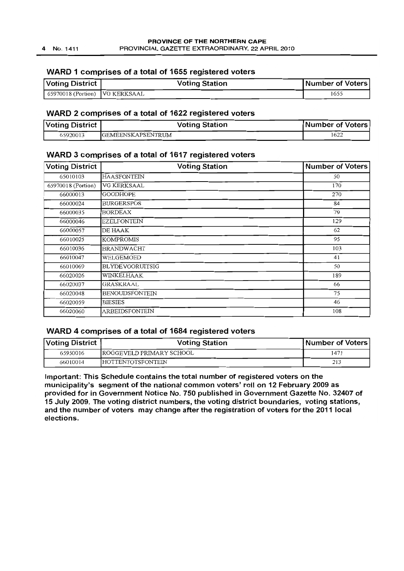## **WARD 1 comprises of a total of 1655 registered voters**

| Voting District                  | <b>Voting Station</b> | Number of Voters |
|----------------------------------|-----------------------|------------------|
| [ 65970018 (Portion) VG KERKSAAL |                       | 1655             |

#### **WARD 2 comprises of a total of 1622 registered voters**

| Voting District | <b>Voting Station</b>    | <b>Number of Voters</b> |
|-----------------|--------------------------|-------------------------|
| 65920013        | <b>GEMEENSKAPSENTRUM</b> | 1622                    |

## **WARD 3 comprises of a total of 1617 registered voters**

| <b>Voting District</b> | <b>Voting Station</b>  | <b>Number of Voters</b> |
|------------------------|------------------------|-------------------------|
| 65010103               | <b>HAASFONTEIN</b>     | 50                      |
| 65970018 (Portion)     | VG KERKSAAL            | 170                     |
| 66000013               | <b>GOODHOPE</b>        | 270                     |
| 66000024               | <b>BURGERSPOS</b>      | 84                      |
| 66000035               | <b>BORDEAX</b>         | 79                      |
| 66000046               | EZELFONTEIN            | 129                     |
| 66000057               | DE HAAK                | 62                      |
| 66010025               | <b>KOMPROMIS</b>       | 95                      |
| 66010036               | <b>BRANDWACHT</b>      | 103                     |
| 66010047               | WELGEMOED              | 41                      |
| 66010069               | <b>BLYDEVOORUITSIG</b> | 50                      |
| 66020026               | WINKELHAAK             | 189                     |
| 66020037               | GRASKRAAL              | 66                      |
| 66020048               | <b>BENOUDSFONTEIN</b>  | 75                      |
| 66020059               | <b>BIESIES</b>         | 46                      |
| 66020060               | ARBEIDSFONTEIN         | 108                     |

## **WARD 4 comprises of a total of 1684 registered voters**

| Voting District | <b>Voting Station</b>    | <b>Number of Voters</b> |
|-----------------|--------------------------|-------------------------|
| 65950016        | ROGGEVELD PRIMARY SCHOOL | 1471                    |
| 66010014        | <b>HOTTENTOTSFONTEIN</b> | 213                     |

**Important: This Schedule contains the total number of registered voters on the municipality's segment of the national common voters' roll on 12 February 2009 as provided for in Government Notice No. 750 published in Government Gazette No. 32407 of 15 July 2009. The voting district numbers, the voting district boundaries, voting stations, and the number of voters may change after the registration of voters for the 2011 local elections.**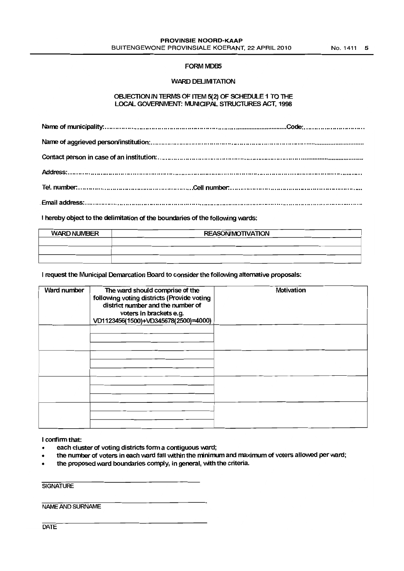#### FORM MDB5

## WARD DELIMITATION

#### OBJECTION IN TERMS OF ITEM 5(2) OF SCHEDULE 1 TO THE LOCAL GOVERNMENT: MUNIOPAL STRUCTURES ACT, 1998

I hereby object to the delimitation of the boundaries of the following wards:

| <b>WARD NUMBER</b> | <b>REASON/MOTIVATION</b> |  |
|--------------------|--------------------------|--|
|                    |                          |  |
|                    |                          |  |
|                    |                          |  |

#### I request the Municipal Demarcation Board to consider the following alternative proposals:

| Ward number | The ward should comprise of the<br>following voting districts (Provide voting<br>district number and the number of<br>voters in brackets e.g.<br>VD1123456(1500)+VD345678(2500)=4000) | Motivation |
|-------------|---------------------------------------------------------------------------------------------------------------------------------------------------------------------------------------|------------|
|             |                                                                                                                                                                                       |            |
|             |                                                                                                                                                                                       |            |
|             |                                                                                                                                                                                       |            |
|             |                                                                                                                                                                                       |            |

I confirm that:

- each cluster of voting districts form a contiguous ward;
- the number of voters in each ward fall within the minimum and maximum of voters allowed per ward;
- the proposed ward boundaries comply, in general, with the criteria.

**SIGNATURE** 

NAME AND SURNAME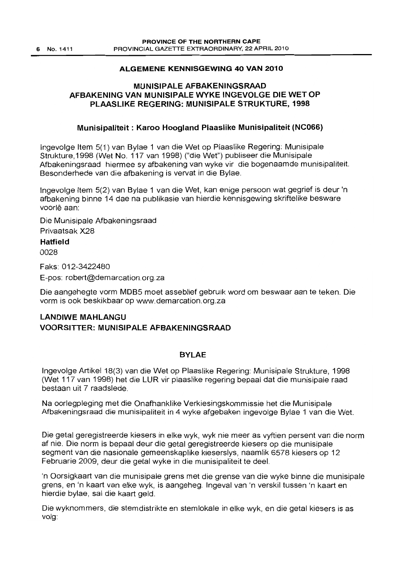## **ALGEMENE KENNISGEWING 40 VAN 2010**

## **MUNISIPALE AFBAKENINGSRAAD AFBAKENING VAN MUNISIPALE WYKE INGEVOLGE DIE WET OP PLAASLIKE REGERING: MUNISIPALE STRUKTURE, 1998**

## **Munisipaliteit: Karoo Hoogland Plaaslike Munisipaliteit (NC066)**

Ingevolge Item 5(1) van Bylae 1 van die Wet op Plaaslike Regering: Munisipale Strukture, 1998 (Wet No. 117 van 1998) ("die Wet") publiseer die Munisipale Afbakeningsraad hiermee sy afbakening van wyke vir die bogenaamde munisipaliteit. Besonderhede van die afbakening is vervat in die Bylae.

Ingevolge Item 5(2) van Bylae 1 van die Wet, kan enige persoon wat gegrief is deur 'n afbakening binne 14 dae na publikasie van hierdie kennisgewing skriftelike besware voorlê aan:

Die Munisipale Afbakeningsraad

Privaatsak X28

## **Hatfield**

0028

Faks: 012-3422480

E-pos: robert@demarcation.org.za

Die aangehegte vorm MOBS moet asseblief gebruik word om beswaar aan te teken. Die vorm is ook beskikbaar op www.demarcation.org.za

# **LANDIWE MAHLANGU VOORSITTER: MUNISIPALE AFBAKENINGSRAAD**

## **BYLAE**

Ingevolge Artikel 18(3) van die Wet op Plaaslike Regering: Munisipale Strukture, 1998 (Wet 117 van 1998) het die **LUR** vir plaaslike regering bepaal dat die munisipale raad bestaan uit 7 raadslede.

Na oorlegpleging met die Onafhanklike Verkiesingskommissie het die Munisipale Afbakeningsraad die munisipaliteit in 4 wyke afgebaken ingevolge Bylae 1 van die Wet.

Die getal geregistreerde kiesers in elke wyk, wyk nie meer as vyftien persent van die norm af nie. Die norm is bepaal deur die getal geregistreerde kiesers op die munisipale segment van die nasionale gemeenskaplike kieserslys, naamlik 6578 kiesers op 12 Februarie 2009, deur die getal wyke in die munisipaliteit te deei.

'n Oorsigkaart van die munisipale grens met die grense van die wyke binne die munisipale grens, en 'n kaart van elke wyk, is aangeheg. Ingeval van 'n verskil tussen 'n kaart en hierdie bylae, sal die kaart geld.

Die wyknommers, die stemdistrikte en stemlokale in elke wyk, en die getal kiesers is as volg: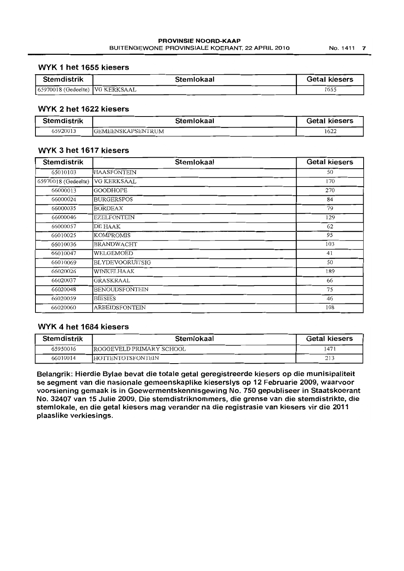#### **WYK 1 het 1655 kiesers**

| <b>Stemdistrik</b>                | Stemlokaal | <b>Getal kiesers</b> |
|-----------------------------------|------------|----------------------|
| 65970018 (Gedeelte)   VG KERKSAAL |            | 1655                 |

# **WYK 2 het 1622 kiesers**

| <b>Stemdistrik</b> | Stemlokaal                | <b>Getal kiesers</b> |
|--------------------|---------------------------|----------------------|
| 65920013           | <b>IGEMEENSKAPSENTRUM</b> | 1622                 |

## **WYK 3 het 1617 kiesers**

| <b>Stemdistrik</b>  | Stemlokaal             | <b>Getal kiesers</b> |
|---------------------|------------------------|----------------------|
| 65010103            | <b>HAASFONTEIN</b>     | 50                   |
| 65970018 (Gedeelte) | VG KERKSAAL            | 170                  |
| 66000013            | <b>GOODHOPE</b>        | 270                  |
| 66000024            | <b>BURGERSPOS</b>      | 84                   |
| 66000035            | <b>BORDEAX</b>         | 79                   |
| 66000046            | <b>EZELFONTEIN</b>     | 129                  |
| 66000057            | DE HAAK                | 62                   |
| 66010025            | <b>KOMPROMIS</b>       | 95                   |
| 66010036            | <b>BRANDWACHT</b>      | 103                  |
| 66010047            | WELGEMOED              | 41                   |
| 66010069            | <b>BLYDEVOORUITSIG</b> | 50                   |
| 66020026            | WINKELHA AK            | 189                  |
| 66020037            | GRASKRAAL              | 66                   |
| 66020048            | <b>BENOUDSFONTEIN</b>  | 75                   |
| 66020059            | <b>BIESIES</b>         | 46                   |
| 66020060            | <b>ARBEIDSFONTEIN</b>  | 108                  |

## **WYK 4 het 1684 kiesers**

| <b>Stemdistrik</b> | Stemlokaal                | <b>Getal kiesers</b> |
|--------------------|---------------------------|----------------------|
| 65950016           | IROGGEVELD PRIMARY SCHOOL | 1471                 |
| 66010014           | <b>HOTTENTOTSFONTEIN</b>  | 213                  |

**Belangrik: Hierdie Bylae bevat die totale getal geregistreerde kiesers op die munisipaliteit se segment van die nasionale gemeenskaplike kieserslys op 12 Februarie 2009, waarvoor voorsiening gemaak is in Goewermentskennisgewing No. 750 gepubliseer in Staatskoerant No. 32407 van 15 Julie 2009. Die stemdistriknommers, die grense van die stemdistrikte, die stemlokale, en die getal kiesers mag verander na die registrasie van kiesers vir die 2011 plaaslike verkiesings.**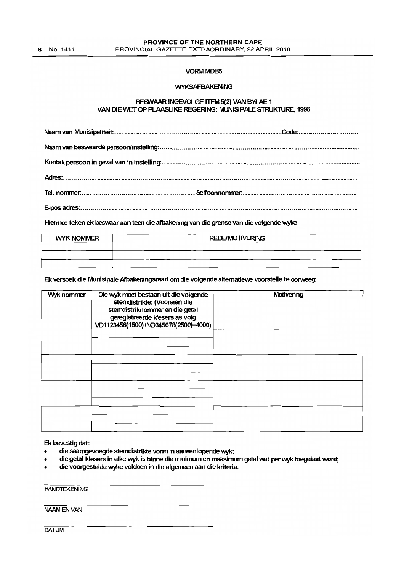#### **VORM MDB5**

#### **WYKSAFBAKENING**

#### BESWAAR INGEVOLGE ITEM 5(2) VAN BYLAE 1 VAN DIE WET OP PLAASLIKE REGERING: MUNISIPALE STRUKTURE, 1998

Hiermee teken ek beswaar aan teen die afbakening van die grense van die volgende wyke:

| <b>WYK NOMMER</b> | <b>REDE/MOTIVERING</b> |  |
|-------------------|------------------------|--|
|                   |                        |  |
|                   |                        |  |
|                   |                        |  |

## Ek versoek die Munisipale Afbakeningsraad om die volgende altematiewe voorstelle te oorweeg:

| Wyk nommer | Die wyk moet bestaan uit die volgende<br>stemdistrikte: (Voorsien die<br>stemdistriknommer en die getal<br>geregistreerde kiesers as volg<br>VD1123456(1500)+VD345678(2500)=4000) | Motivening |
|------------|-----------------------------------------------------------------------------------------------------------------------------------------------------------------------------------|------------|
|            |                                                                                                                                                                                   |            |
|            |                                                                                                                                                                                   |            |
|            |                                                                                                                                                                                   |            |
|            |                                                                                                                                                                                   |            |

Ek bevestig dat:

- die saamgevoegde stemdistrikte vonn 'n aaneenlopende wyk;
- die getal kiesers in elke wyk is binne die minimum en maksimum getal wat per wyk toegelaat word;
- die voorgestelde wyke voldoen in die algemeen aan die kriteria.

**HANDTEKENING** 

NAAMENVAN

**DATUM**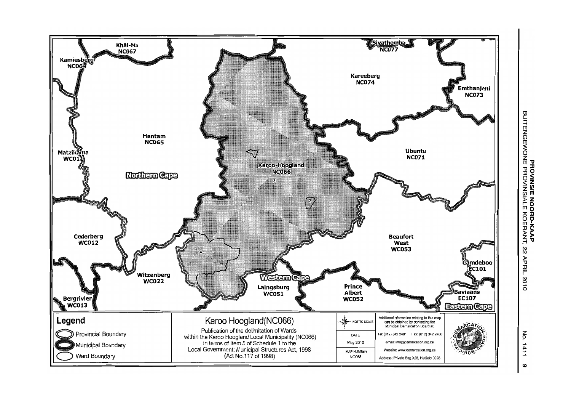

BUITENG o Z **m'tl 1J::D lJO <Z***-en* **z-(J)m »ZromO A::D 00m' lJ" »> z>** .-1 'tl 22 AP r 2010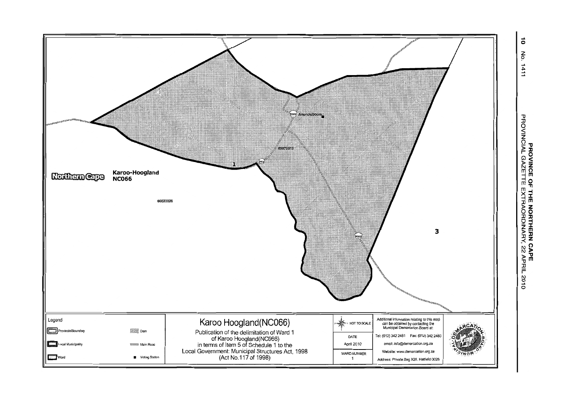

No. 1411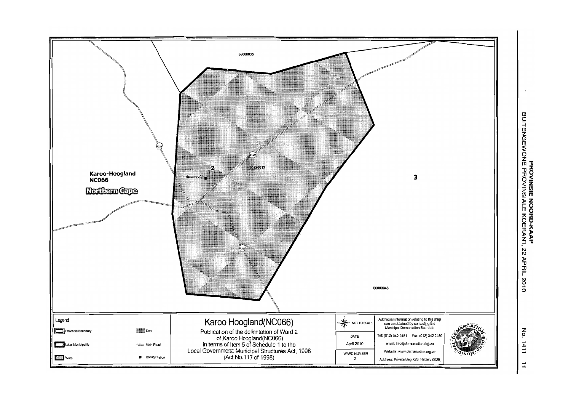

n<br>⊆ **EXAMPLE MOON JRACER AIGLE ROFOR-**<br>PROVINSIE NOORD-KA<br>ENGEWONE PROVINSIALE KOER **z"C** ;-l  $\%$ PHHT 7010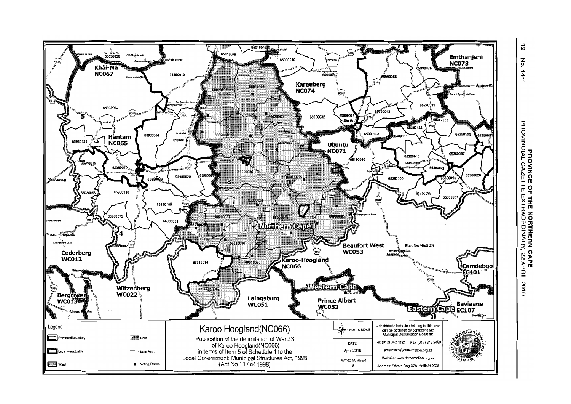

 $\vec{v}$ **P**  $1411$ 

> **PROVINCE OF<br>PROVINCIAL GAZETTE THE NORTHERN CAPE<br>EXTRAORDINARY, 22 APRIL** 2010